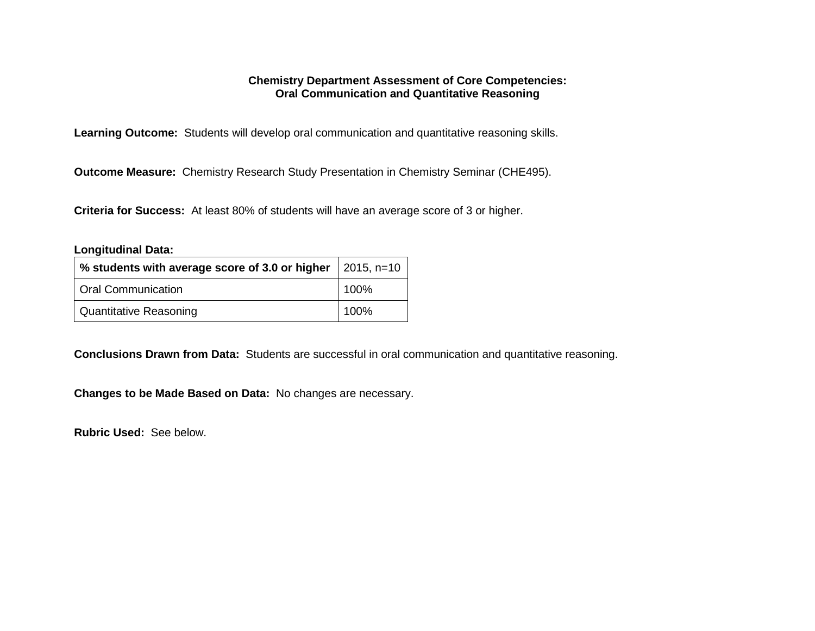#### **Chemistry Department Assessment of Core Competencies: Oral Communication and Quantitative Reasoning**

**Learning Outcome:** Students will develop oral communication and quantitative reasoning skills.

**Outcome Measure:** Chemistry Research Study Presentation in Chemistry Seminar (CHE495).

**Criteria for Success:** At least 80% of students will have an average score of 3 or higher.

#### **Longitudinal Data:**

| % students with average score of 3.0 or higher $\vert$ 2015, n=10 |      |
|-------------------------------------------------------------------|------|
| <b>Oral Communication</b>                                         | 100% |
| <b>Quantitative Reasoning</b>                                     | 100% |

**Conclusions Drawn from Data:** Students are successful in oral communication and quantitative reasoning.

**Changes to be Made Based on Data:** No changes are necessary.

**Rubric Used:** See below.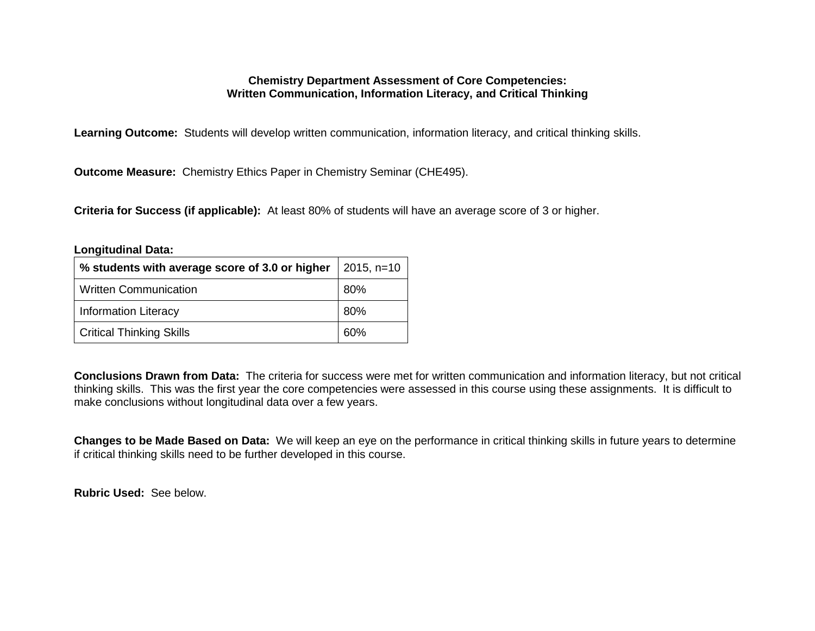### **Chemistry Department Assessment of Core Competencies: Written Communication, Information Literacy, and Critical Thinking**

**Learning Outcome:** Students will develop written communication, information literacy, and critical thinking skills.

**Outcome Measure:** Chemistry Ethics Paper in Chemistry Seminar (CHE495).

**Criteria for Success (if applicable):** At least 80% of students will have an average score of 3 or higher.

| <b>Longitudinal Data:</b>                      |              |  |  |
|------------------------------------------------|--------------|--|--|
| % students with average score of 3.0 or higher | $2015, n=10$ |  |  |
| <b>Written Communication</b>                   | 80%          |  |  |
| <b>Information Literacy</b>                    | 80%          |  |  |
| <b>Critical Thinking Skills</b>                | 60%          |  |  |

**Conclusions Drawn from Data:** The criteria for success were met for written communication and information literacy, but not critical thinking skills. This was the first year the core competencies were assessed in this course using these assignments. It is difficult to make conclusions without longitudinal data over a few years.

**Changes to be Made Based on Data:** We will keep an eye on the performance in critical thinking skills in future years to determine if critical thinking skills need to be further developed in this course.

**Rubric Used:** See below.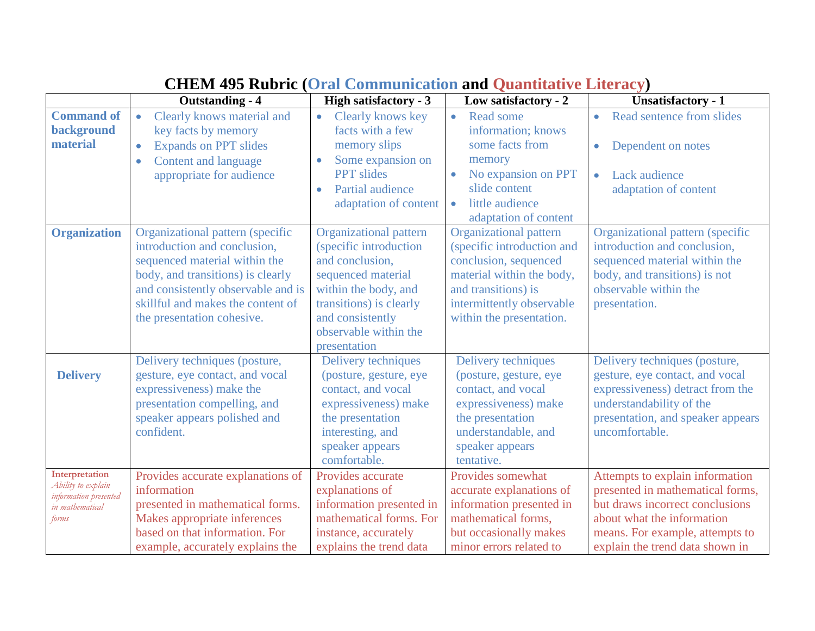|                                                                                           | <b>Outstanding - 4</b>                                                                                                                                                                                                                          | <b>High satisfactory - 3</b>                                                                                                                                                                                     | Low satisfactory - 2                                                                                                                                                                              | <b>Unsatisfactory - 1</b>                                                                                                                                                                                  |
|-------------------------------------------------------------------------------------------|-------------------------------------------------------------------------------------------------------------------------------------------------------------------------------------------------------------------------------------------------|------------------------------------------------------------------------------------------------------------------------------------------------------------------------------------------------------------------|---------------------------------------------------------------------------------------------------------------------------------------------------------------------------------------------------|------------------------------------------------------------------------------------------------------------------------------------------------------------------------------------------------------------|
| <b>Command of</b><br>background<br>material                                               | Clearly knows material and<br>key facts by memory<br><b>Expands on PPT slides</b><br>$\bullet$<br>Content and language<br>$\bullet$<br>appropriate for audience                                                                                 | Clearly knows key<br>$\bullet$<br>facts with a few<br>memory slips<br>Some expansion on<br>$\bullet$<br><b>PPT</b> slides<br>Partial audience<br>$\bullet$<br>adaptation of content                              | Read some<br>$\bullet$<br>information; knows<br>some facts from<br>memory<br>No expansion on PPT<br>$\bullet$<br>slide content<br>little audience<br>$\bullet$<br>adaptation of content           | Read sentence from slides<br>Dependent on notes<br>Lack audience<br>$\bullet$<br>adaptation of content                                                                                                     |
| <b>Organization</b>                                                                       | Organizational pattern (specific<br>introduction and conclusion,<br>sequenced material within the<br>body, and transitions) is clearly<br>and consistently observable and is<br>skillful and makes the content of<br>the presentation cohesive. | <b>Organizational pattern</b><br>(specific introduction<br>and conclusion,<br>sequenced material<br>within the body, and<br>transitions) is clearly<br>and consistently<br>observable within the<br>presentation | <b>Organizational pattern</b><br>(specific introduction and<br>conclusion, sequenced<br>material within the body,<br>and transitions) is<br>intermittently observable<br>within the presentation. | Organizational pattern (specific<br>introduction and conclusion,<br>sequenced material within the<br>body, and transitions) is not<br>observable within the<br>presentation.                               |
| <b>Delivery</b>                                                                           | Delivery techniques (posture,<br>gesture, eye contact, and vocal<br>expressiveness) make the<br>presentation compelling, and<br>speaker appears polished and<br>confident.                                                                      | Delivery techniques<br>(posture, gesture, eye<br>contact, and vocal<br>expressiveness) make<br>the presentation<br>interesting, and<br>speaker appears<br>comfortable.                                           | Delivery techniques<br>(posture, gesture, eye<br>contact, and vocal<br>expressiveness) make<br>the presentation<br>understandable, and<br>speaker appears<br>tentative.                           | Delivery techniques (posture,<br>gesture, eye contact, and vocal<br>expressiveness) detract from the<br>understandability of the<br>presentation, and speaker appears<br>uncomfortable.                    |
| Interpretation<br>Ability to explain<br>information presented<br>in mathematical<br>forms | Provides accurate explanations of<br>information<br>presented in mathematical forms.<br>Makes appropriate inferences<br>based on that information. For<br>example, accurately explains the                                                      | Provides accurate<br>explanations of<br>information presented in<br>mathematical forms. For<br>instance, accurately<br>explains the trend data                                                                   | Provides somewhat<br>accurate explanations of<br>information presented in<br>mathematical forms.<br>but occasionally makes<br>minor errors related to                                             | Attempts to explain information<br>presented in mathematical forms,<br>but draws incorrect conclusions<br>about what the information<br>means. For example, attempts to<br>explain the trend data shown in |

## **CHEM 495 Rubric (Oral Communication and Quantitative Literacy)**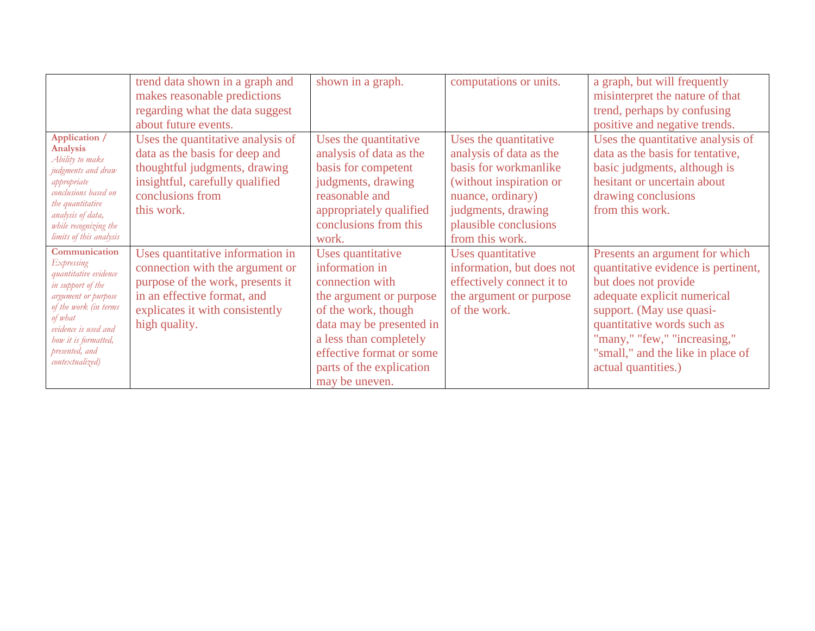|                                       | trend data shown in a graph and   | shown in a graph.        | computations or units.    | a graph, but will frequently        |
|---------------------------------------|-----------------------------------|--------------------------|---------------------------|-------------------------------------|
|                                       | makes reasonable predictions      |                          |                           | misinterpret the nature of that     |
|                                       | regarding what the data suggest   |                          |                           | trend, perhaps by confusing         |
|                                       | about future events.              |                          |                           | positive and negative trends.       |
| Application /                         | Uses the quantitative analysis of | Uses the quantitative    | Uses the quantitative     | Uses the quantitative analysis of   |
| Analysis<br>Ability to make           | data as the basis for deep and    | analysis of data as the  | analysis of data as the   | data as the basis for tentative,    |
| judgments and draw                    | thoughtful judgments, drawing     | basis for competent      | basis for workmanlike     | basic judgments, although is        |
| appropriate                           | insightful, carefully qualified   | judgments, drawing       | (without inspiration or   | hesitant or uncertain about         |
| conclusions based on                  | conclusions from                  | reasonable and           | nuance, ordinary)         | drawing conclusions                 |
| the quantitative<br>analysis of data, | this work.                        | appropriately qualified  | judgments, drawing        | from this work.                     |
| while recognizing the                 |                                   | conclusions from this    | plausible conclusions     |                                     |
| limits of this analysis               |                                   | work.                    | from this work.           |                                     |
| Communication                         | Uses quantitative information in  | Uses quantitative        | Uses quantitative         | Presents an argument for which      |
| Expressing<br>quantitative evidence   | connection with the argument or   | information in           | information, but does not | quantitative evidence is pertinent, |
| in support of the                     | purpose of the work, presents it  | connection with          | effectively connect it to | but does not provide                |
| argument or purpose                   | in an effective format, and       | the argument or purpose  | the argument or purpose   | adequate explicit numerical         |
| of the work (in terms<br>of what      | explicates it with consistently   | of the work, though      | of the work.              | support. (May use quasi-            |
| evidence is used and                  | high quality.                     | data may be presented in |                           | quantitative words such as          |
| how it is formatted,                  |                                   | a less than completely   |                           | "many," "few," "increasing,"        |
| presented, and                        |                                   | effective format or some |                           | "small," and the like in place of   |
| contextualized)                       |                                   | parts of the explication |                           | actual quantities.)                 |
|                                       |                                   | may be uneven.           |                           |                                     |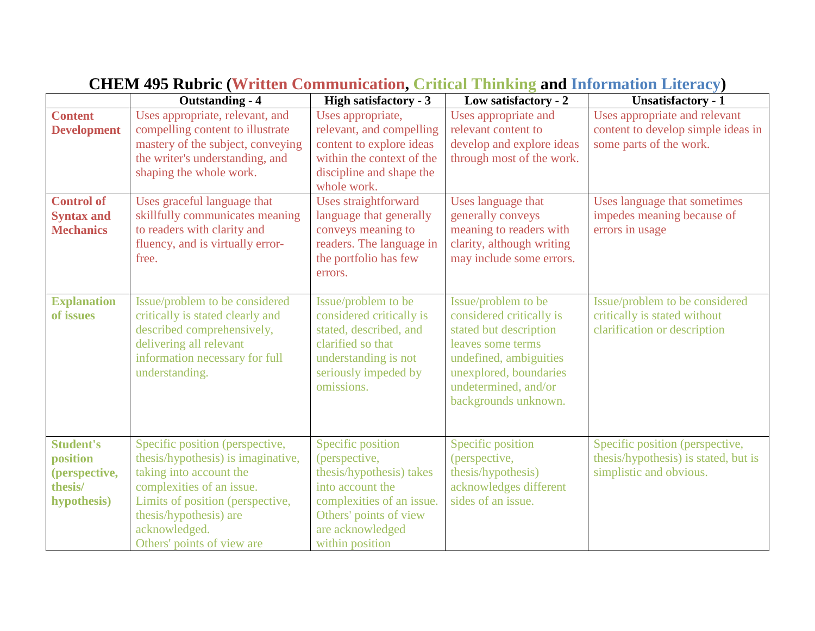|                                                                         | <b>Outstanding - 4</b>                                                                                                                                                                                                                     | <b>High satisfactory - 3</b>                                                                                                                                                     | Low satisfactory - 2                                                                                                                                                                               | <b>Unsatisfactory - 1</b>                                                                          |
|-------------------------------------------------------------------------|--------------------------------------------------------------------------------------------------------------------------------------------------------------------------------------------------------------------------------------------|----------------------------------------------------------------------------------------------------------------------------------------------------------------------------------|----------------------------------------------------------------------------------------------------------------------------------------------------------------------------------------------------|----------------------------------------------------------------------------------------------------|
| <b>Content</b>                                                          | Uses appropriate, relevant, and                                                                                                                                                                                                            | Uses appropriate,                                                                                                                                                                | Uses appropriate and                                                                                                                                                                               | Uses appropriate and relevant                                                                      |
| <b>Development</b>                                                      | compelling content to illustrate                                                                                                                                                                                                           | relevant, and compelling                                                                                                                                                         | relevant content to                                                                                                                                                                                | content to develop simple ideas in                                                                 |
|                                                                         | mastery of the subject, conveying                                                                                                                                                                                                          | content to explore ideas                                                                                                                                                         | develop and explore ideas                                                                                                                                                                          | some parts of the work.                                                                            |
|                                                                         | the writer's understanding, and                                                                                                                                                                                                            | within the context of the                                                                                                                                                        | through most of the work.                                                                                                                                                                          |                                                                                                    |
|                                                                         | shaping the whole work.                                                                                                                                                                                                                    | discipline and shape the                                                                                                                                                         |                                                                                                                                                                                                    |                                                                                                    |
|                                                                         |                                                                                                                                                                                                                                            | whole work.                                                                                                                                                                      |                                                                                                                                                                                                    |                                                                                                    |
| <b>Control of</b>                                                       | Uses graceful language that                                                                                                                                                                                                                | <b>Uses straightforward</b>                                                                                                                                                      | Uses language that                                                                                                                                                                                 | Uses language that sometimes                                                                       |
| <b>Syntax and</b><br><b>Mechanics</b>                                   | skillfully communicates meaning<br>to readers with clarity and                                                                                                                                                                             | language that generally<br>conveys meaning to                                                                                                                                    | generally conveys<br>meaning to readers with                                                                                                                                                       | impedes meaning because of<br>errors in usage                                                      |
|                                                                         | fluency, and is virtually error-                                                                                                                                                                                                           | readers. The language in                                                                                                                                                         | clarity, although writing                                                                                                                                                                          |                                                                                                    |
|                                                                         | free.                                                                                                                                                                                                                                      | the portfolio has few                                                                                                                                                            | may include some errors.                                                                                                                                                                           |                                                                                                    |
|                                                                         |                                                                                                                                                                                                                                            | errors.                                                                                                                                                                          |                                                                                                                                                                                                    |                                                                                                    |
|                                                                         |                                                                                                                                                                                                                                            |                                                                                                                                                                                  |                                                                                                                                                                                                    |                                                                                                    |
| <b>Explanation</b><br>of issues                                         | Issue/problem to be considered<br>critically is stated clearly and<br>described comprehensively,<br>delivering all relevant<br>information necessary for full<br>understanding.                                                            | Issue/problem to be<br>considered critically is<br>stated, described, and<br>clarified so that<br>understanding is not<br>seriously impeded by<br>omissions.                     | Issue/problem to be<br>considered critically is<br>stated but description<br>leaves some terms<br>undefined, ambiguities<br>unexplored, boundaries<br>undetermined, and/or<br>backgrounds unknown. | Issue/problem to be considered<br>critically is stated without<br>clarification or description     |
| <b>Student's</b><br>position<br>(perspective,<br>thesis/<br>hypothesis) | Specific position (perspective,<br>thesis/hypothesis) is imaginative,<br>taking into account the<br>complexities of an issue.<br>Limits of position (perspective,<br>thesis/hypothesis) are<br>acknowledged.<br>Others' points of view are | Specific position<br>(perspective,<br>thesis/hypothesis) takes<br>into account the<br>complexities of an issue.<br>Others' points of view<br>are acknowledged<br>within position | Specific position<br>(perspective,<br>thesis/hypothesis)<br>acknowledges different<br>sides of an issue.                                                                                           | Specific position (perspective,<br>thesis/hypothesis) is stated, but is<br>simplistic and obvious. |

# **CHEM 495 Rubric (Written Communication, Critical Thinking and Information Literacy)**